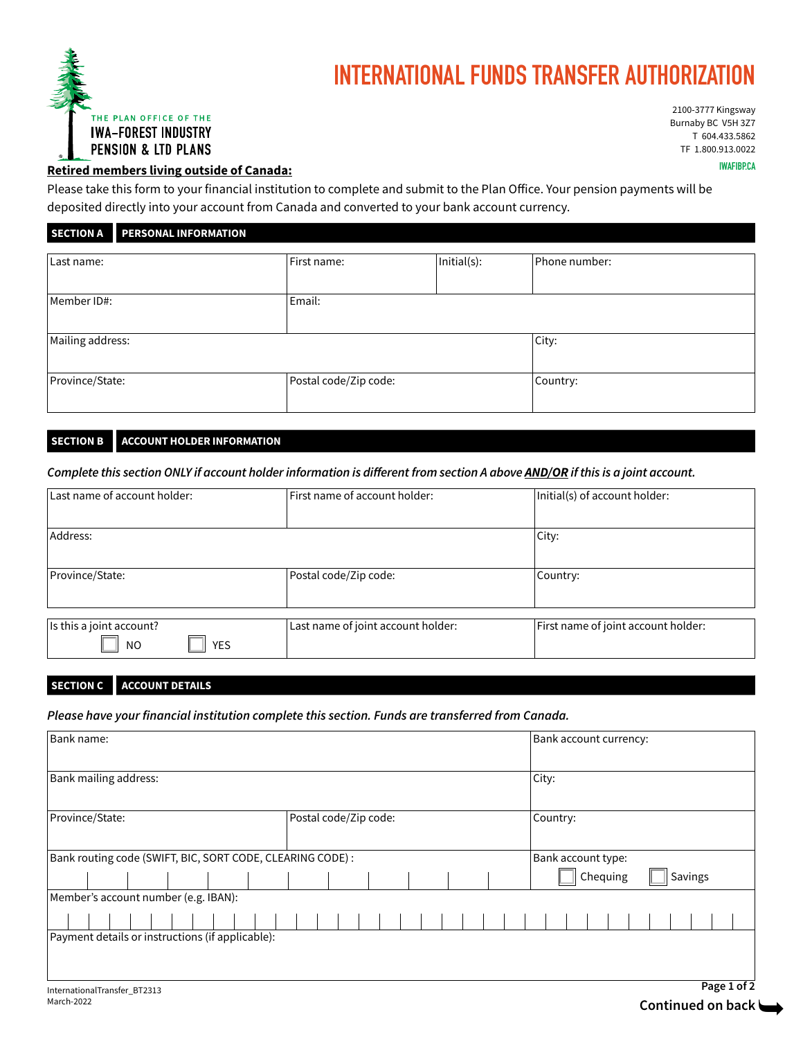

# **INTERNATIONAL FUNDS TRANSFER AUTHORIZATION**

2100-3777 Kingsway Burnaby BC V5H 3Z7 T 604.433.5862 TF 1.800.913.0022

## **IWAFIBP.CA Retired members living outside of Canada:**

Please take this form to your financial institution to complete and submit to the Plan Office. Your pension payments will be deposited directly into your account from Canada and converted to your bank account currency.

**SECTION A PERSONAL INFORMATION**

| Last name:       | First name:           | Initial(s): | Phone number: |
|------------------|-----------------------|-------------|---------------|
|                  |                       |             |               |
| Member ID#:      | Email:                |             |               |
|                  |                       |             |               |
| Mailing address: |                       |             | City:         |
|                  |                       |             |               |
| Province/State:  | Postal code/Zip code: |             | Country:      |
|                  |                       |             |               |

#### **SECTION B ACCOUNT HOLDER INFORMATION**

*Complete this section ONLY if account holder information is different from section A above AND/OR if this is a joint account.*

| Last name of account holder:                 | First name of account holder:      | Initial(s) of account holder:       |
|----------------------------------------------|------------------------------------|-------------------------------------|
| Address:                                     |                                    | City:                               |
| Province/State:                              | Postal code/Zip code:              | Country:                            |
| Is this a joint account?<br>YES<br><b>NO</b> | Last name of joint account holder: | First name of joint account holder: |

### **SECTION C ACCOUNT DETAILS**

*Please have your financial institution complete this section. Funds are transferred from Canada.*

| Bank name:                                                 |                       | Bank account currency: |
|------------------------------------------------------------|-----------------------|------------------------|
| Bank mailing address:                                      |                       | City:                  |
| Province/State:                                            | Postal code/Zip code: | Country:               |
| Bank routing code (SWIFT, BIC, SORT CODE, CLEARING CODE) : |                       | Bank account type:     |
|                                                            |                       | Chequing<br>Savings    |
| Member's account number (e.g. IBAN):                       |                       |                        |
|                                                            |                       |                        |
| Payment details or instructions (if applicable):           |                       |                        |
|                                                            |                       |                        |
| InternationalTransfer_BT2313                               |                       | Page 1 of 2            |
| March-2022                                                 |                       | Continued on back      |
|                                                            |                       |                        |